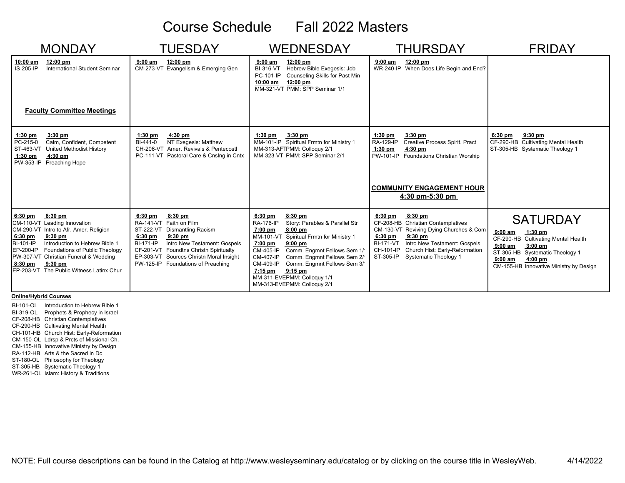# Course Schedule Fall 2022 Masters

| <b>MONDAY</b>                                                                                                                                                                                                                                                                                                                              | <b>TUESDAY</b><br><b>WEDNESDAY</b>                                                                                                                                                                                                                                                         |                                                                                                                                                                                                                                                                                                                                                                                                             | <b>THURSDAY</b>                                                                                                                                                                                                                                                         | <b>FRIDAY</b>                                                                                                                                                                                                    |
|--------------------------------------------------------------------------------------------------------------------------------------------------------------------------------------------------------------------------------------------------------------------------------------------------------------------------------------------|--------------------------------------------------------------------------------------------------------------------------------------------------------------------------------------------------------------------------------------------------------------------------------------------|-------------------------------------------------------------------------------------------------------------------------------------------------------------------------------------------------------------------------------------------------------------------------------------------------------------------------------------------------------------------------------------------------------------|-------------------------------------------------------------------------------------------------------------------------------------------------------------------------------------------------------------------------------------------------------------------------|------------------------------------------------------------------------------------------------------------------------------------------------------------------------------------------------------------------|
| 10:00 am<br>$12:00 \text{ pm}$<br>International Student Seminar<br>IS-205-IP<br><b>Faculty Committee Meetings</b>                                                                                                                                                                                                                          | 12:00 pm<br>$9:00$ am<br>CM-273-VT Evangelism & Emerging Gen                                                                                                                                                                                                                               | 12:00 pm<br>$9:00$ am<br>Hebrew Bible Exegesis: Job<br>BI-316-VT<br>PC-101-IP<br>Counseling Skills for Past Min<br>$12:00 \text{ pm}$<br>$10:00$ am<br>MM-321-VT PMM: SPP Seminar 1/1                                                                                                                                                                                                                       | 12:00 pm<br>$9:00$ am<br>WR-240-IP When Does Life Begin and End?                                                                                                                                                                                                        |                                                                                                                                                                                                                  |
| $3:30$ pm<br>$1:30$ pm<br>PC-215-0<br>Calm, Confident, Competent<br>ST-463-VT<br>United Methodist History<br>$4:30$ pm<br>$1:30$ pm<br>PW-353-IP Preaching Hope                                                                                                                                                                            | 4:30 pm<br>$1:30$ pm<br>NT Exegesis: Matthew<br>BI-441-0<br>CH-206-VT Amer. Revivals & Pentecostl<br>PC-111-VT Pastoral Care & Cnslng in Cntx                                                                                                                                              | $1:30$ pm<br>$3:30$ pm<br>MM-101-IP Spiritual Frmtn for Ministry 1<br>MM-313-AFTPMM: Colloquy 2/1<br>MM-323-VT PMM: SPP Seminar 2/1                                                                                                                                                                                                                                                                         | $3:30$ pm<br>$1:30$ pm<br>RA-129-IP<br>Creative Process Spirit. Pract<br>$1:30$ pm<br>$4:30$ pm<br>PW-101-IP Foundations Christian Worship<br><b>COMMUNITY ENGAGEMENT HOUR</b><br>4:30 pm-5:30 pm                                                                       | $6:30$ pm<br>$9:30$ pm<br>CF-290-HB Cultivating Mental Health<br>ST-305-HB Systematic Theology 1                                                                                                                 |
| $8:30$ pm<br>$6:30$ pm<br>CM-110-VT Leading Innovation<br>CM-290-VT Intro to Afr. Amer. Religion<br>6:30 pm<br>$9:30$ pm<br><b>BI-101-IP</b><br>Introduction to Hebrew Bible 1<br>EP-200-IP<br>Foundations of Public Theology<br>PW-307-VT Christian Funeral & Wedding<br>$9:30$ pm<br>8:30 pm<br>EP-203-VT The Public Witness Latinx Chur | $8:30$ pm<br>$6:30$ pm<br>RA-141-VT Faith on Film<br>ST-222-VT Dismantling Racism<br>$9:30$ pm<br>$6:30$ pm<br>Intro New Testament: Gospels<br><b>BI-171-IP</b><br>CF-201-VT Foundtns Christn Spiritualty<br>EP-303-VT Sources Christn Moral Insight<br>PW-125-IP Foundations of Preaching | $6:30$ pm<br>$8:30$ pm<br><b>RA-176-IP</b><br>Story: Parables & Parallel Str<br>$8:00$ pm<br>$7:00$ pm<br>MM-101-VT Spiritual Frmtn for Ministry 1<br>$9:00$ pm<br>7:00 pm<br>Comm. Engmnt Fellows Sem 1/<br>CM-405-IP<br><b>CM-407-IP</b><br>Comm. Engmnt Fellows Sem 2/<br>CM-409-IP<br>Comm. Engmnt Fellows Sem 3/<br>$9:15$ pm<br>7:15 pm<br>MM-311-EVEPMM: Colloquy 1/1<br>MM-313-EVEPMM: Colloquy 2/1 | $8:30$ pm<br>$6:30$ pm<br>CF-208-HB Christian Contemplatives<br>CM-130-VT Reviving Dying Churches & Com<br>$9:30$ pm<br>$6:30$ pm<br>Intro New Testament: Gospels<br><b>BI-171-VT</b><br>CH-101-IP<br>Church Hist: Early-Reformation<br>ST-305-IP Systematic Theology 1 | <b>SATURDAY</b><br>$9:00$ am<br>$1:30$ pm<br>CF-290-HB Cultivating Mental Health<br>$9:00$ am<br>$3:00$ pm<br>ST-305-HB Systematic Theology 1<br>4:00 pm<br>$9:00$ am<br>CM-155-HB Innovative Ministry by Design |

**Online/Hybrid Courses**

BI-101-OL Introduction to Hebrew Bible 1 BI-319-OL Prophets & Prophecy in Israel CF-208-HB Christian Contemplatives CF-290-HB Cultivating Mental Health CH-101-HB Church Hist: Early-Reformation CM-150-OL Ldrsp & Prcts of Missional Ch. CM-155-HB Innovative Ministry by Design RA-112-HB Arts & the Sacred in Dc ST-180-OL Philosophy for Theology ST-305-HB Systematic Theology 1 WR-261-OL Islam: History & Traditions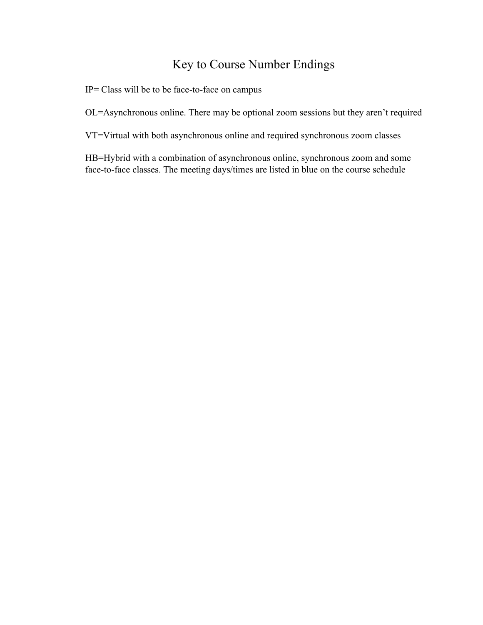## Key to Course Number Endings

IP= Class will be to be face-to-face on campus

OL=Asynchronous online. There may be optional zoom sessions but they aren't required

VT=Virtual with both asynchronous online and required synchronous zoom classes

HB=Hybrid with a combination of asynchronous online, synchronous zoom and some face-to-face classes. The meeting days/times are listed in blue on the course schedule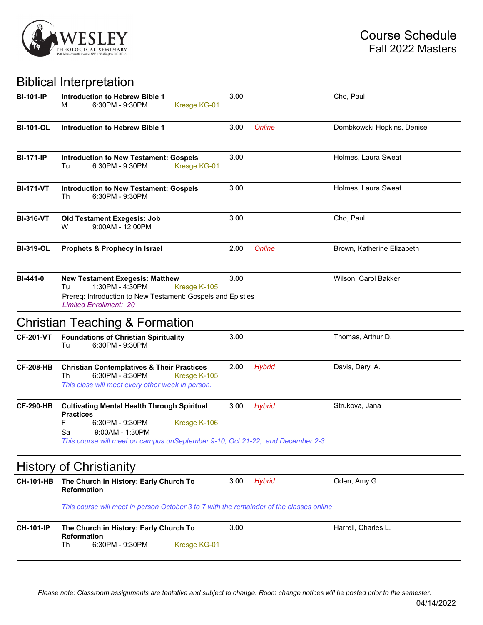

## Biblical Interpretation

| <b>BI-101-IP</b> | Introduction to Hebrew Bible 1<br>6:30PM - 9:30PM<br>Kresge KG-01<br>м                                                                                                                                                    | 3.00 |               | Cho, Paul                  |
|------------------|---------------------------------------------------------------------------------------------------------------------------------------------------------------------------------------------------------------------------|------|---------------|----------------------------|
| <b>BI-101-OL</b> | <b>Introduction to Hebrew Bible 1</b>                                                                                                                                                                                     | 3.00 | <b>Online</b> | Dombkowski Hopkins, Denise |
| <b>BI-171-IP</b> | <b>Introduction to New Testament: Gospels</b><br>6:30PM - 9:30PM<br>Tu<br>Kresge KG-01                                                                                                                                    | 3.00 |               | Holmes, Laura Sweat        |
| <b>BI-171-VT</b> | <b>Introduction to New Testament: Gospels</b><br>6:30PM - 9:30PM<br>Th                                                                                                                                                    | 3.00 |               | Holmes, Laura Sweat        |
| <b>BI-316-VT</b> | <b>Old Testament Exegesis: Job</b><br>9:00AM - 12:00PM<br>w                                                                                                                                                               | 3.00 |               | Cho, Paul                  |
| <b>BI-319-OL</b> | Prophets & Prophecy in Israel                                                                                                                                                                                             | 2.00 | Online        | Brown, Katherine Elizabeth |
| <b>BI-441-0</b>  | <b>New Testament Exegesis: Matthew</b><br>1:30PM - 4:30PM<br>Kresge K-105<br>Tu<br>Prereq: Introduction to New Testament: Gospels and Epistles<br><b>Limited Enrollment: 20</b>                                           | 3.00 |               | Wilson, Carol Bakker       |
|                  | <b>Christian Teaching &amp; Formation</b>                                                                                                                                                                                 |      |               |                            |
| <b>CF-201-VT</b> | <b>Foundations of Christian Spirituality</b><br>6:30PM - 9:30PM<br>Tu                                                                                                                                                     | 3.00 |               | Thomas, Arthur D.          |
| <b>CF-208-HB</b> | <b>Christian Contemplatives &amp; Their Practices</b><br>Th<br>6:30PM - 8:30PM<br>Kresge K-105<br>This class will meet every other week in person.                                                                        | 2.00 | <b>Hybrid</b> | Davis, Deryl A.            |
| <b>CF-290-HB</b> | <b>Cultivating Mental Health Through Spiritual</b><br><b>Practices</b><br>F<br>6:30PM - 9:30PM<br>Kresge K-106<br>9:00AM - 1:30PM<br>Sa<br>This course will meet on campus on September 9-10, Oct 21-22, and December 2-3 | 3.00 | <b>Hybrid</b> | Strukova, Jana             |
|                  | <b>History of Christianity</b>                                                                                                                                                                                            |      |               |                            |
| <b>CH-101-HB</b> | The Church in History: Early Church To<br><b>Reformation</b>                                                                                                                                                              | 3.00 | <b>Hybrid</b> | Oden, Amy G.               |
|                  | This course will meet in person October 3 to 7 with the remainder of the classes online                                                                                                                                   |      |               |                            |
| <b>CH-101-IP</b> | The Church in History: Early Church To<br><b>Reformation</b><br>6:30PM - 9:30PM<br>Th<br>Kresge KG-01                                                                                                                     | 3.00 |               | Harrell, Charles L.        |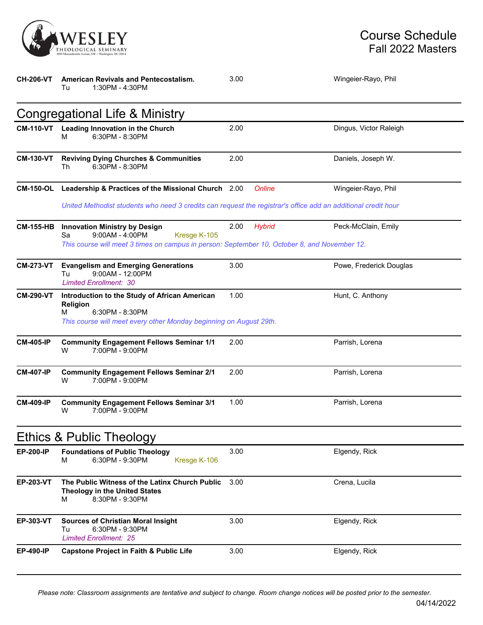

| <b>CH-206-VT</b> | American Revivals and Pentecostalism.<br>1:30PM - 4:30PM<br>Tu                                                                                                                  | 3.00                     | Wingeier-Rayo, Phil     |
|------------------|---------------------------------------------------------------------------------------------------------------------------------------------------------------------------------|--------------------------|-------------------------|
|                  | <b>Congregational Life &amp; Ministry</b>                                                                                                                                       |                          |                         |
| <b>CM-110-VT</b> | Leading Innovation in the Church<br>6:30PM - 8:30PM<br>м                                                                                                                        | 2.00                     | Dingus, Victor Raleigh  |
| <b>CM-130-VT</b> | <b>Reviving Dying Churches &amp; Communities</b><br>6:30PM - 8:30PM<br>Th                                                                                                       | 2.00                     | Daniels, Joseph W.      |
|                  | CM-150-OL Leadership & Practices of the Missional Church 2.00                                                                                                                   | Online                   | Wingeier-Rayo, Phil     |
|                  | United Methodist students who need 3 credits can request the registrar's office add an additional credit hour                                                                   |                          |                         |
| <b>CM-155-HB</b> | <b>Innovation Ministry by Design</b><br>$9:00AM - 4:00PM$<br>Kresge K-105<br>Sa<br>This course will meet 3 times on campus in person: September 10, October 8, and November 12. | 2.00<br><b>Hybrid</b>    | Peck-McClain, Emily     |
| <b>CM-273-VT</b> | <b>Evangelism and Emerging Generations</b><br>9:00AM - 12:00PM<br>Tu<br><b>Limited Enrollment: 30</b>                                                                           | 3.00                     | Powe, Frederick Douglas |
| <b>CM-290-VT</b> | Introduction to the Study of African American<br><b>Religion</b><br>6:30PM - 8:30PM<br>м<br>This course will meet every other Monday beginning on August 29th.                  | 1.00<br>Hunt, C. Anthony |                         |
| <b>CM-405-IP</b> | <b>Community Engagement Fellows Seminar 1/1</b><br>7:00PM - 9:00PM<br>W                                                                                                         | 2.00                     | Parrish, Lorena         |
| <b>CM-407-IP</b> | <b>Community Engagement Fellows Seminar 2/1</b><br>7:00PM - 9:00PM<br>W                                                                                                         | 2.00                     | Parrish, Lorena         |
| <b>CM-409-IP</b> | <b>Community Engagement Fellows Seminar 3/1</b><br>7:00PM - 9:00PM<br>W                                                                                                         | 1.00                     | Parrish, Lorena         |
|                  | <b>Ethics &amp; Public Theology</b>                                                                                                                                             |                          |                         |
| <b>EP-200-IP</b> | <b>Foundations of Public Theology</b><br>6:30PM - 9:30PM<br>Kresge K-106<br>м                                                                                                   | 3.00                     | Elgendy, Rick           |
| <b>EP-203-VT</b> | The Public Witness of the Latinx Church Public<br><b>Theology in the United States</b><br>8:30PM - 9:30PM<br>м                                                                  | 3.00                     | Crena, Lucila           |
| <b>EP-303-VT</b> | <b>Sources of Christian Moral Insight</b><br>6:30PM - 9:30PM<br>Tu<br><b>Limited Enrollment: 25</b>                                                                             | 3.00                     | Elgendy, Rick           |
| <b>EP-490-IP</b> | <b>Capstone Project in Faith &amp; Public Life</b>                                                                                                                              | 3.00                     | Elgendy, Rick           |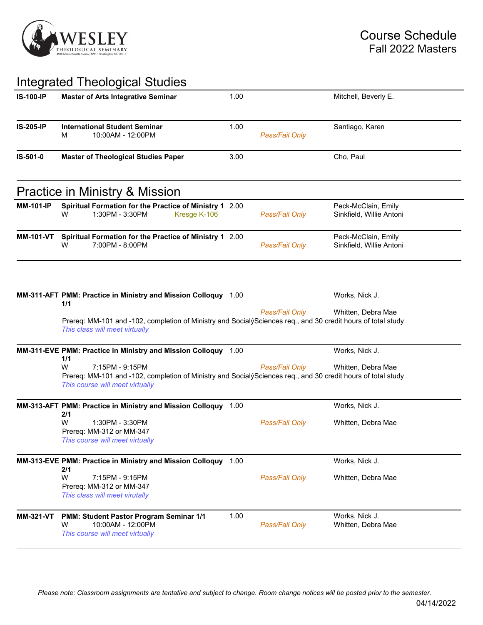

## Integrated Theological Studies

|                  | megratoa moorogroar otaaro                                                                                                                                              |      |                |                                                 |
|------------------|-------------------------------------------------------------------------------------------------------------------------------------------------------------------------|------|----------------|-------------------------------------------------|
| <b>IS-100-IP</b> | <b>Master of Arts Integrative Seminar</b>                                                                                                                               | 1.00 |                | Mitchell, Beverly E.                            |
| <b>IS-205-IP</b> | <b>International Student Seminar</b>                                                                                                                                    | 1.00 |                | Santiago, Karen                                 |
|                  | 10:00AM - 12:00PM<br>м                                                                                                                                                  |      | Pass/Fail Only |                                                 |
| IS-501-0         | <b>Master of Theological Studies Paper</b>                                                                                                                              | 3.00 |                | Cho, Paul                                       |
|                  | Practice in Ministry & Mission                                                                                                                                          |      |                |                                                 |
| <b>MM-101-IP</b> | Spiritual Formation for the Practice of Ministry 1 2.00<br>1:30PM - 3:30PM<br>Kresge K-106<br>w                                                                         |      | Pass/Fail Only | Peck-McClain, Emily<br>Sinkfield, Willie Antoni |
|                  | MM-101-VT Spiritual Formation for the Practice of Ministry 1 2.00<br>7:00PM - 8:00PM<br>W                                                                               |      | Pass/Fail Only | Peck-McClain, Emily<br>Sinkfield, Willie Antoni |
|                  | MM-311-AFT PMM: Practice in Ministry and Mission Colloquy 1.00<br>1/1                                                                                                   |      |                | Works, Nick J.                                  |
|                  | Prereq: MM-101 and -102, completion of Ministry and SocialýSciences req., and 30 credit hours of total study<br>This class will meet virtually                          |      | Pass/Fail Only | Whitten, Debra Mae                              |
|                  | MM-311-EVE PMM: Practice in Ministry and Mission Colloquy 1.00<br>1/1                                                                                                   |      |                | Works, Nick J.                                  |
|                  | W<br>7:15PM - 9:15PM<br>Prereq: MM-101 and -102, completion of Ministry and SocialýSciences req., and 30 credit hours of total study<br>This course will meet virtually |      | Pass/Fail Only | Whitten, Debra Mae                              |
|                  | MM-313-AFT PMM: Practice in Ministry and Mission Colloquy 1.00                                                                                                          |      |                | Works, Nick J.                                  |
|                  | 2/1<br>W<br>1:30PM - 3:30PM<br>Prereq: MM-312 or MM-347<br>This course will meet virtually                                                                              |      | Pass/Fail Only | Whitten, Debra Mae                              |
|                  | MM-313-EVE PMM: Practice in Ministry and Mission Colloquy 1.00                                                                                                          |      |                | Works, Nick J.                                  |
|                  | 2/1<br>W<br>7:15PM - 9:15PM<br>Prereq: MM-312 or MM-347<br>This class will meet virutally                                                                               |      | Pass/Fail Only | Whitten, Debra Mae                              |
| <b>MM-321-VT</b> | PMM: Student Pastor Program Seminar 1/1<br>10:00AM - 12:00PM<br>W<br>This course will meet virtually                                                                    | 1.00 | Pass/Fail Only | Works, Nick J.<br>Whitten, Debra Mae            |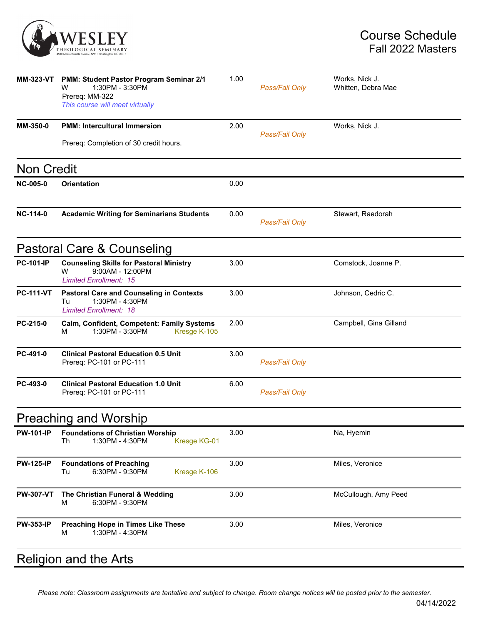

| <b>MM-323-VT</b>  | PMM: Student Pastor Program Seminar 2/1<br>1:30PM - 3:30PM<br>W<br>Prereq: MM-322<br>This course will meet virtually | 1.00 | Pass/Fail Only | Works, Nick J.<br>Whitten, Debra Mae |
|-------------------|----------------------------------------------------------------------------------------------------------------------|------|----------------|--------------------------------------|
| MM-350-0          | <b>PMM: Intercultural Immersion</b>                                                                                  | 2.00 | Pass/Fail Only | Works, Nick J.                       |
|                   | Prereq: Completion of 30 credit hours.                                                                               |      |                |                                      |
| <b>Non Credit</b> |                                                                                                                      |      |                |                                      |
| <b>NC-005-0</b>   | <b>Orientation</b>                                                                                                   | 0.00 |                |                                      |
| <b>NC-114-0</b>   | <b>Academic Writing for Seminarians Students</b>                                                                     | 0.00 | Pass/Fail Only | Stewart, Raedorah                    |
|                   | Pastoral Care & Counseling                                                                                           |      |                |                                      |
| <b>PC-101-IP</b>  | <b>Counseling Skills for Pastoral Ministry</b><br>w<br>9:00AM - 12:00PM<br><b>Limited Enrollment: 15</b>             | 3.00 |                | Comstock, Joanne P.                  |
| <b>PC-111-VT</b>  | <b>Pastoral Care and Counseling in Contexts</b><br>1:30PM - 4:30PM<br>Tu<br><b>Limited Enrollment: 18</b>            | 3.00 |                | Johnson, Cedric C.                   |
| PC-215-0          | Calm, Confident, Competent: Family Systems<br>1:30PM - 3:30PM<br>Kresge K-105<br>м                                   | 2.00 |                | Campbell, Gina Gilland               |
| PC-491-0          | <b>Clinical Pastoral Education 0.5 Unit</b><br>Prereq: PC-101 or PC-111                                              | 3.00 | Pass/Fail Only |                                      |
| PC-493-0          | <b>Clinical Pastoral Education 1.0 Unit</b><br>Prereq: PC-101 or PC-111                                              | 6.00 | Pass/Fail Only |                                      |
|                   | Preaching and Worship                                                                                                |      |                |                                      |
| <b>PW-101-IP</b>  | <b>Foundations of Christian Worship</b><br>1:30PM - 4:30PM<br>Th<br>Kresge KG-01                                     | 3.00 |                | Na, Hyemin                           |
| <b>PW-125-IP</b>  | <b>Foundations of Preaching</b><br>6:30PM - 9:30PM<br>Kresge K-106<br>Tu                                             | 3.00 |                | Miles, Veronice                      |
| <b>PW-307-VT</b>  | The Christian Funeral & Wedding<br>6:30PM - 9:30PM<br>м                                                              | 3.00 |                | McCullough, Amy Peed                 |
| <b>PW-353-IP</b>  | Preaching Hope in Times Like These<br>1:30PM - 4:30PM<br>М                                                           | 3.00 |                | Miles, Veronice                      |
|                   | <b>Religion and the Arts</b>                                                                                         |      |                |                                      |